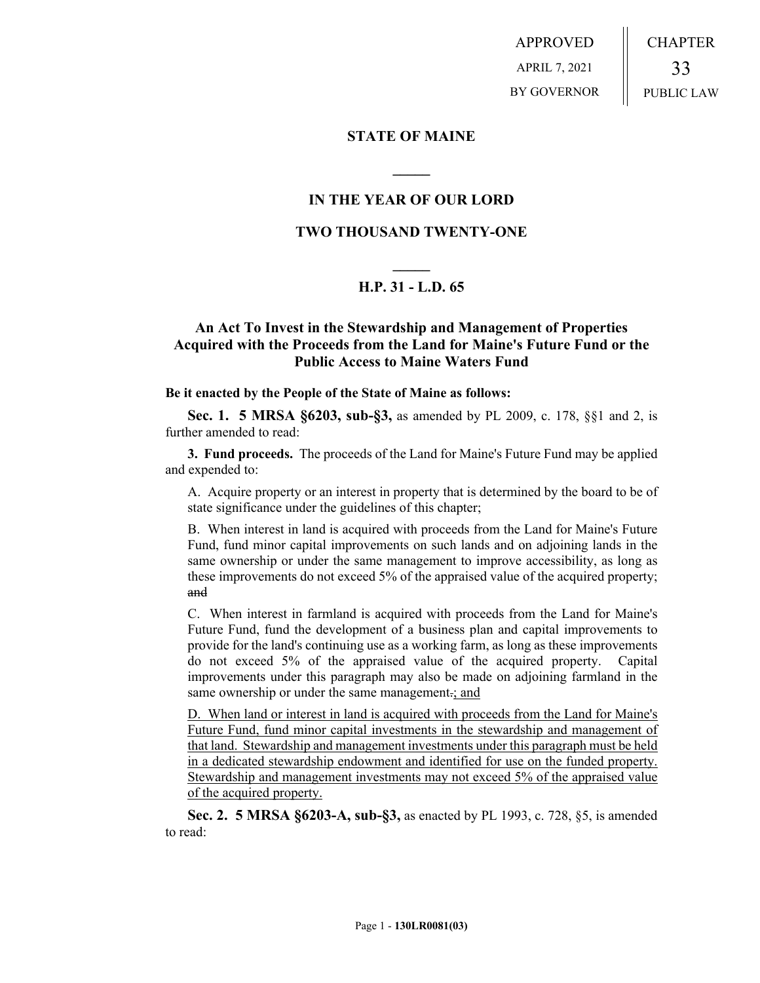APPROVED APRIL 7, 2021 BY GOVERNOR CHAPTER 33 PUBLIC LAW

### **STATE OF MAINE**

# **IN THE YEAR OF OUR LORD**

**\_\_\_\_\_**

### **TWO THOUSAND TWENTY-ONE**

# **\_\_\_\_\_ H.P. 31 - L.D. 65**

# **An Act To Invest in the Stewardship and Management of Properties Acquired with the Proceeds from the Land for Maine's Future Fund or the Public Access to Maine Waters Fund**

#### **Be it enacted by the People of the State of Maine as follows:**

**Sec. 1. 5 MRSA §6203, sub-§3,** as amended by PL 2009, c. 178, §§1 and 2, is further amended to read:

**3. Fund proceeds.** The proceeds of the Land for Maine's Future Fund may be applied and expended to:

A. Acquire property or an interest in property that is determined by the board to be of state significance under the guidelines of this chapter;

B. When interest in land is acquired with proceeds from the Land for Maine's Future Fund, fund minor capital improvements on such lands and on adjoining lands in the same ownership or under the same management to improve accessibility, as long as these improvements do not exceed 5% of the appraised value of the acquired property; and

C. When interest in farmland is acquired with proceeds from the Land for Maine's Future Fund, fund the development of a business plan and capital improvements to provide for the land's continuing use as a working farm, as long as these improvements do not exceed 5% of the appraised value of the acquired property. Capital improvements under this paragraph may also be made on adjoining farmland in the same ownership or under the same management.; and

D. When land or interest in land is acquired with proceeds from the Land for Maine's Future Fund, fund minor capital investments in the stewardship and management of that land. Stewardship and management investments under this paragraph must be held in a dedicated stewardship endowment and identified for use on the funded property. Stewardship and management investments may not exceed 5% of the appraised value of the acquired property.

**Sec. 2. 5 MRSA §6203-A, sub-§3,** as enacted by PL 1993, c. 728, §5, is amended to read: